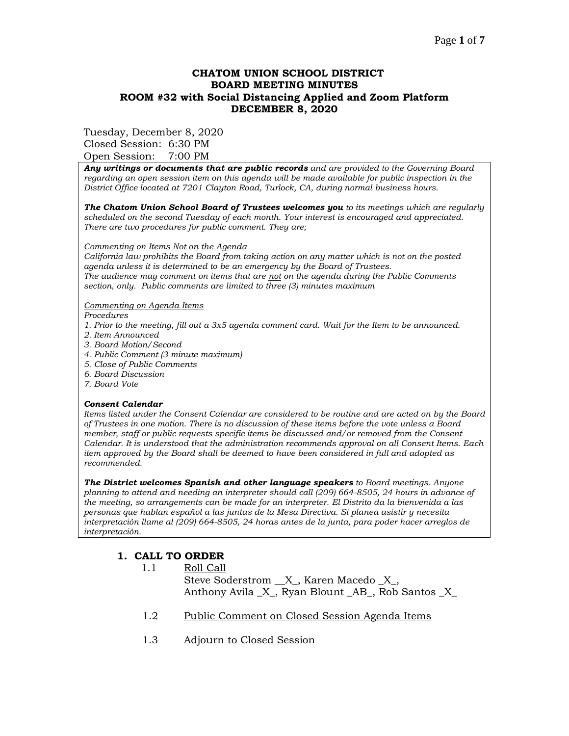## **CHATOM UNION SCHOOL DISTRICT BOARD MEETING MINUTES ROOM #32 with Social Distancing Applied and Zoom Platform DECEMBER 8, 2020**

#### Tuesday, December 8, 2020

Closed Session: 6:30 PM Open Session: 7:00 PM

*Any writings or documents that are public records and are provided to the Governing Board regarding an open session item on this agenda will be made available for public inspection in the District Office located at 7201 Clayton Road, Turlock, CA, during normal business hours.*

*The Chatom Union School Board of Trustees welcomes you to its meetings which are regularly scheduled on the second Tuesday of each month. Your interest is encouraged and appreciated. There are two procedures for public comment. They are;*

#### *Commenting on Items Not on the Agenda*

*California law prohibits the Board from taking action on any matter which is not on the posted agenda unless it is determined to be an emergency by the Board of Trustees. The audience may comment on items that are not on the agenda during the Public Comments section, only. Public comments are limited to three (3) minutes maximum* 

#### *Commenting on Agenda Items*

*Procedures* 

- *1. Prior to the meeting, fill out a 3x5 agenda comment card. Wait for the Item to be announced.*
- *2. Item Announced*
- *3. Board Motion/Second*
- *4. Public Comment (3 minute maximum)*
- *5. Close of Public Comments*
- *6. Board Discussion*
- *7. Board Vote*

#### *Consent Calendar*

*Items listed under the Consent Calendar are considered to be routine and are acted on by the Board of Trustees in one motion. There is no discussion of these items before the vote unless a Board member, staff or public requests specific items be discussed and/or removed from the Consent Calendar. It is understood that the administration recommends approval on all Consent Items. Each item approved by the Board shall be deemed to have been considered in full and adopted as recommended.* 

*The District welcomes Spanish and other language speakers to Board meetings. Anyone planning to attend and needing an interpreter should call (209) 664-8505, 24 hours in advance of the meeting, so arrangements can be made for an interpreter. El Distrito da la bienvenida a las personas que hablan español a las juntas de la Mesa Directiva. Si planea asistir y necesita interpretación llame al (209) 664-8505, 24 horas antes de la junta, para poder hacer arreglos de interpretación.*

### **1. CALL TO ORDER**

1.1 Roll Call

Steve Soderstrom \_\_X\_, Karen Macedo \_X\_, Anthony Avila \_X\_, Ryan Blount \_AB\_, Rob Santos \_X\_

- 1.2 Public Comment on Closed Session Agenda Items
- 1.3 Adjourn to Closed Session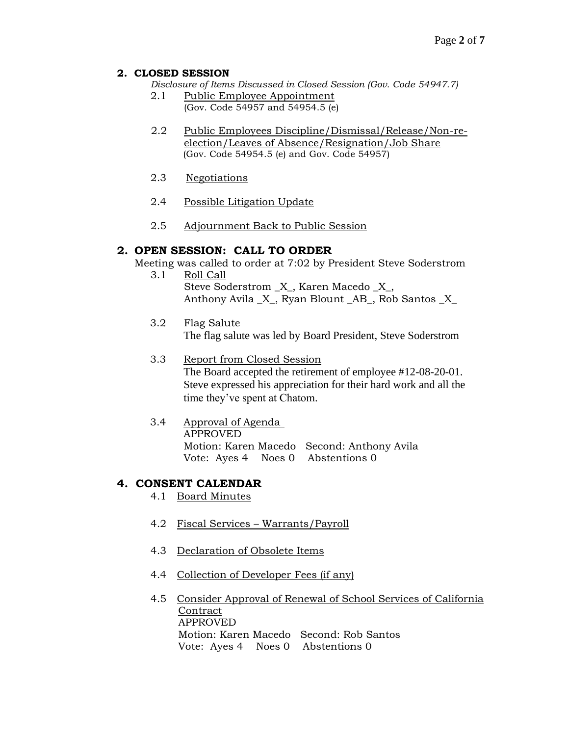## **2. CLOSED SESSION**

*Disclosure of Items Discussed in Closed Session (Gov. Code 54947.7)*

- 2.1 Public Employee Appointment (Gov. Code 54957 and 54954.5 (e)
- 2.2 Public Employees Discipline/Dismissal/Release/Non-reelection/Leaves of Absence/Resignation/Job Share (Gov. Code 54954.5 (e) and Gov. Code 54957)
- 2.3 Negotiations
- 2.4 Possible Litigation Update
- 2.5 Adjournment Back to Public Session

# **2. OPEN SESSION: CALL TO ORDER**

Meeting was called to order at 7:02 by President Steve Soderstrom

- 3.1 Roll Call Steve Soderstrom \_X\_, Karen Macedo \_X\_, Anthony Avila \_X\_, Ryan Blount \_AB\_, Rob Santos \_X\_
- 3.2 Flag Salute The flag salute was led by Board President, Steve Soderstrom
- 3.3 Report from Closed Session

The Board accepted the retirement of employee #12-08-20-01. Steve expressed his appreciation for their hard work and all the time they've spent at Chatom.

3.4 Approval of Agenda APPROVED Motion: Karen Macedo Second: Anthony Avila Vote: Ayes 4 Noes 0 Abstentions 0

# **4. CONSENT CALENDAR**

- 4.1 Board Minutes
- 4.2 Fiscal Services Warrants/Payroll
- 4.3 Declaration of Obsolete Items
- 4.4 Collection of Developer Fees (if any)
- 4.5 Consider Approval of Renewal of School Services of California **Contract**  APPROVED Motion: Karen Macedo Second: Rob Santos Vote: Ayes 4 Noes 0 Abstentions 0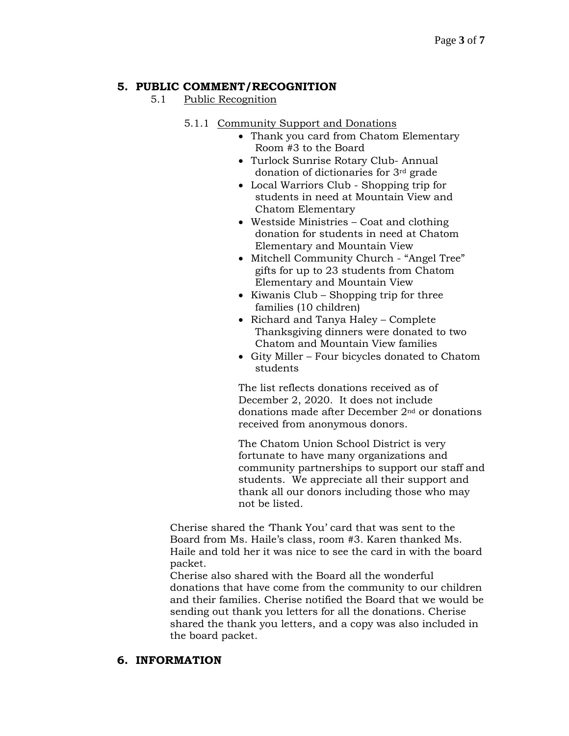# **5. PUBLIC COMMENT/RECOGNITION**

# 5.1 Public Recognition

# 5.1.1 Community Support and Donations

- Thank you card from Chatom Elementary Room #3 to the Board
- Turlock Sunrise Rotary Club- Annual donation of dictionaries for 3rd grade
- Local Warriors Club Shopping trip for students in need at Mountain View and Chatom Elementary
- Westside Ministries Coat and clothing donation for students in need at Chatom Elementary and Mountain View
- Mitchell Community Church "Angel Tree" gifts for up to 23 students from Chatom Elementary and Mountain View
- Kiwanis Club Shopping trip for three families (10 children)
- Richard and Tanya Haley Complete Thanksgiving dinners were donated to two Chatom and Mountain View families
- Gity Miller Four bicycles donated to Chatom students

The list reflects donations received as of December 2, 2020. It does not include donations made after December 2nd or donations received from anonymous donors.

The Chatom Union School District is very fortunate to have many organizations and community partnerships to support our staff and students. We appreciate all their support and thank all our donors including those who may not be listed.

Cherise shared the 'Thank You' card that was sent to the Board from Ms. Haile's class, room #3. Karen thanked Ms. Haile and told her it was nice to see the card in with the board packet.

Cherise also shared with the Board all the wonderful donations that have come from the community to our children and their families. Cherise notified the Board that we would be sending out thank you letters for all the donations. Cherise shared the thank you letters, and a copy was also included in the board packet.

# **6. INFORMATION**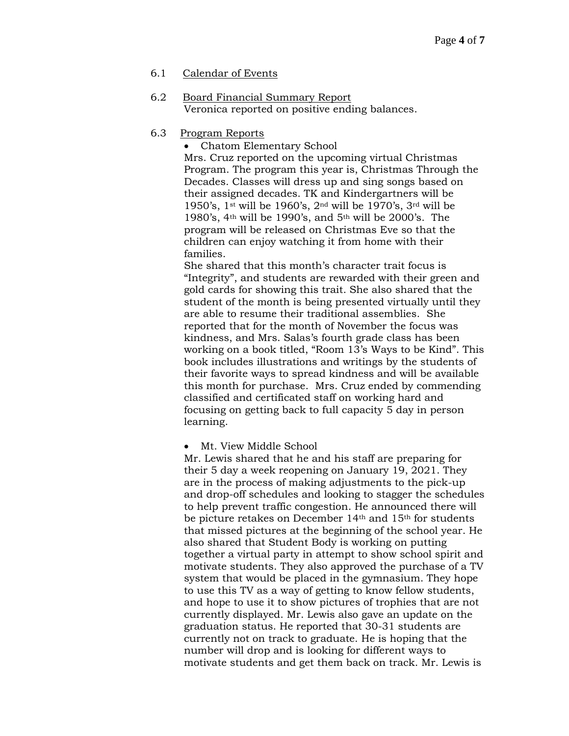## 6.1 Calendar of Events

6.2 Board Financial Summary Report Veronica reported on positive ending balances.

## 6.3 Program Reports

• Chatom Elementary School Mrs. Cruz reported on the upcoming virtual Christmas Program. The program this year is, Christmas Through the Decades. Classes will dress up and sing songs based on their assigned decades. TK and Kindergartners will be 1950's, 1st will be 1960's, 2nd will be 1970's, 3rd will be 1980's, 4th will be 1990's, and 5th will be 2000's. The program will be released on Christmas Eve so that the children can enjoy watching it from home with their families.

She shared that this month's character trait focus is "Integrity", and students are rewarded with their green and gold cards for showing this trait. She also shared that the student of the month is being presented virtually until they are able to resume their traditional assemblies. She reported that for the month of November the focus was kindness, and Mrs. Salas's fourth grade class has been working on a book titled, "Room 13's Ways to be Kind". This book includes illustrations and writings by the students of their favorite ways to spread kindness and will be available this month for purchase. Mrs. Cruz ended by commending classified and certificated staff on working hard and focusing on getting back to full capacity 5 day in person learning.

• Mt. View Middle School

Mr. Lewis shared that he and his staff are preparing for their 5 day a week reopening on January 19, 2021. They are in the process of making adjustments to the pick-up and drop-off schedules and looking to stagger the schedules to help prevent traffic congestion. He announced there will be picture retakes on December 14<sup>th</sup> and 15<sup>th</sup> for students that missed pictures at the beginning of the school year. He also shared that Student Body is working on putting together a virtual party in attempt to show school spirit and motivate students. They also approved the purchase of a TV system that would be placed in the gymnasium. They hope to use this TV as a way of getting to know fellow students, and hope to use it to show pictures of trophies that are not currently displayed. Mr. Lewis also gave an update on the graduation status. He reported that 30-31 students are currently not on track to graduate. He is hoping that the number will drop and is looking for different ways to motivate students and get them back on track. Mr. Lewis is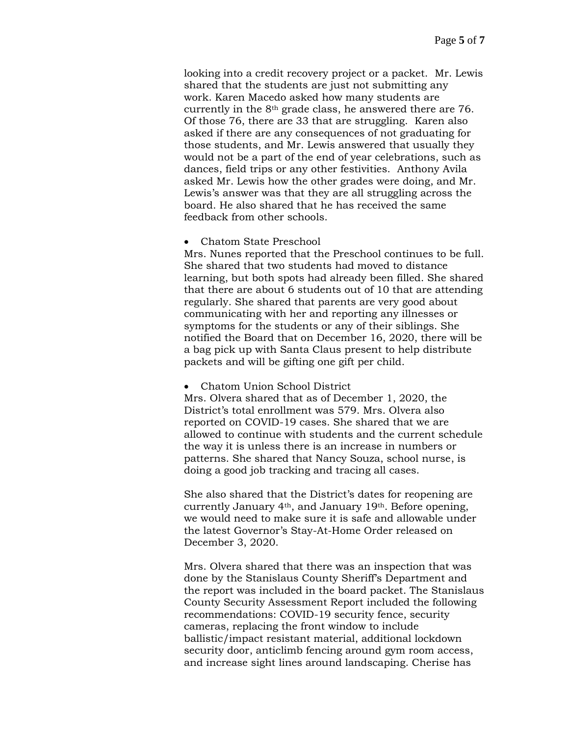looking into a credit recovery project or a packet. Mr. Lewis shared that the students are just not submitting any work. Karen Macedo asked how many students are currently in the 8th grade class, he answered there are 76. Of those 76, there are 33 that are struggling. Karen also asked if there are any consequences of not graduating for those students, and Mr. Lewis answered that usually they would not be a part of the end of year celebrations, such as dances, field trips or any other festivities. Anthony Avila asked Mr. Lewis how the other grades were doing, and Mr. Lewis's answer was that they are all struggling across the board. He also shared that he has received the same feedback from other schools.

• Chatom State Preschool

Mrs. Nunes reported that the Preschool continues to be full. She shared that two students had moved to distance learning, but both spots had already been filled. She shared that there are about 6 students out of 10 that are attending regularly. She shared that parents are very good about communicating with her and reporting any illnesses or symptoms for the students or any of their siblings. She notified the Board that on December 16, 2020, there will be a bag pick up with Santa Claus present to help distribute packets and will be gifting one gift per child.

#### • Chatom Union School District

Mrs. Olvera shared that as of December 1, 2020, the District's total enrollment was 579. Mrs. Olvera also reported on COVID-19 cases. She shared that we are allowed to continue with students and the current schedule the way it is unless there is an increase in numbers or patterns. She shared that Nancy Souza, school nurse, is doing a good job tracking and tracing all cases.

She also shared that the District's dates for reopening are currently January 4th, and January 19th. Before opening, we would need to make sure it is safe and allowable under the latest Governor's Stay-At-Home Order released on December 3, 2020.

Mrs. Olvera shared that there was an inspection that was done by the Stanislaus County Sheriff's Department and the report was included in the board packet. The Stanislaus County Security Assessment Report included the following recommendations: COVID-19 security fence, security cameras, replacing the front window to include ballistic/impact resistant material, additional lockdown security door, anticlimb fencing around gym room access, and increase sight lines around landscaping. Cherise has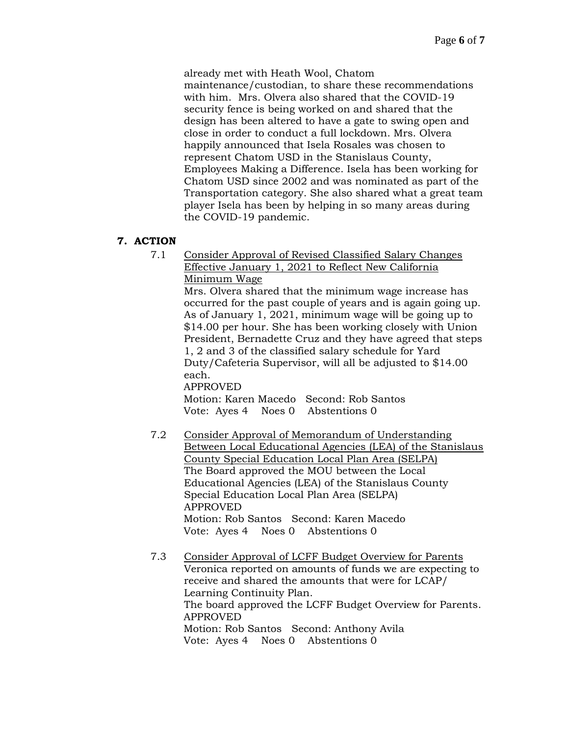already met with Heath Wool, Chatom

maintenance/custodian, to share these recommendations with him. Mrs. Olvera also shared that the COVID-19 security fence is being worked on and shared that the design has been altered to have a gate to swing open and close in order to conduct a full lockdown. Mrs. Olvera happily announced that Isela Rosales was chosen to represent Chatom USD in the Stanislaus County, Employees Making a Difference. Isela has been working for Chatom USD since 2002 and was nominated as part of the Transportation category. She also shared what a great team player Isela has been by helping in so many areas during the COVID-19 pandemic.

## **7. ACTION**

7.1 Consider Approval of Revised Classified Salary Changes Effective January 1, 2021 to Reflect New California Minimum Wage

> Mrs. Olvera shared that the minimum wage increase has occurred for the past couple of years and is again going up. As of January 1, 2021, minimum wage will be going up to \$14.00 per hour. She has been working closely with Union President, Bernadette Cruz and they have agreed that steps 1, 2 and 3 of the classified salary schedule for Yard Duty/Cafeteria Supervisor, will all be adjusted to \$14.00 each.

# APPROVED

Motion: Karen Macedo Second: Rob Santos Vote: Ayes 4 Noes 0 Abstentions 0

- 7.2 Consider Approval of Memorandum of Understanding Between Local Educational Agencies (LEA) of the Stanislaus County Special Education Local Plan Area (SELPA) The Board approved the MOU between the Local Educational Agencies (LEA) of the Stanislaus County Special Education Local Plan Area (SELPA) APPROVED Motion: Rob Santos Second: Karen Macedo Vote: Ayes 4 Noes 0 Abstentions 0
- 7.3 Consider Approval of LCFF Budget Overview for Parents Veronica reported on amounts of funds we are expecting to receive and shared the amounts that were for LCAP/ Learning Continuity Plan. The board approved the LCFF Budget Overview for Parents. APPROVED Motion: Rob Santos Second: Anthony Avila Vote: Ayes 4 Noes 0 Abstentions 0